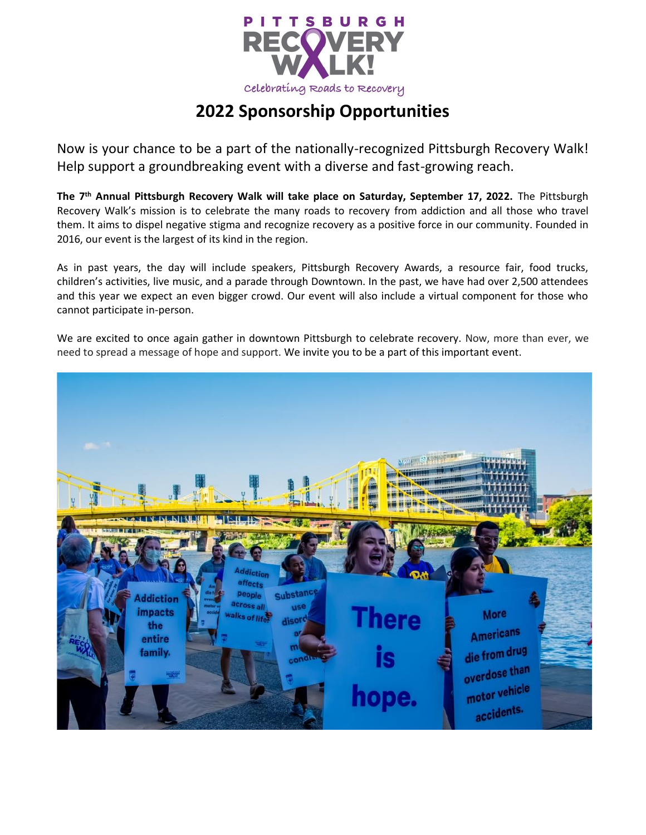

# **2022 Sponsorship Opportunities**

Now is your chance to be a part of the nationally-recognized Pittsburgh Recovery Walk! Help support a groundbreaking event with a diverse and fast-growing reach.

**The 7th Annual Pittsburgh Recovery Walk will take place on Saturday, September 17, 2022.** The Pittsburgh Recovery Walk's mission is to celebrate the many roads to recovery from addiction and all those who travel them. It aims to dispel negative stigma and recognize recovery as a positive force in our community. Founded in 2016, our event is the largest of its kind in the region.

As in past years, the day will include speakers, Pittsburgh Recovery Awards, a resource fair, food trucks, children's activities, live music, and a parade through Downtown. In the past, we have had over 2,500 attendees and this year we expect an even bigger crowd. Our event will also include a virtual component for those who cannot participate in-person.

We are excited to once again gather in downtown Pittsburgh to celebrate recovery. Now, more than ever, we need to spread a message of hope and support. We invite you to be a part of this important event.

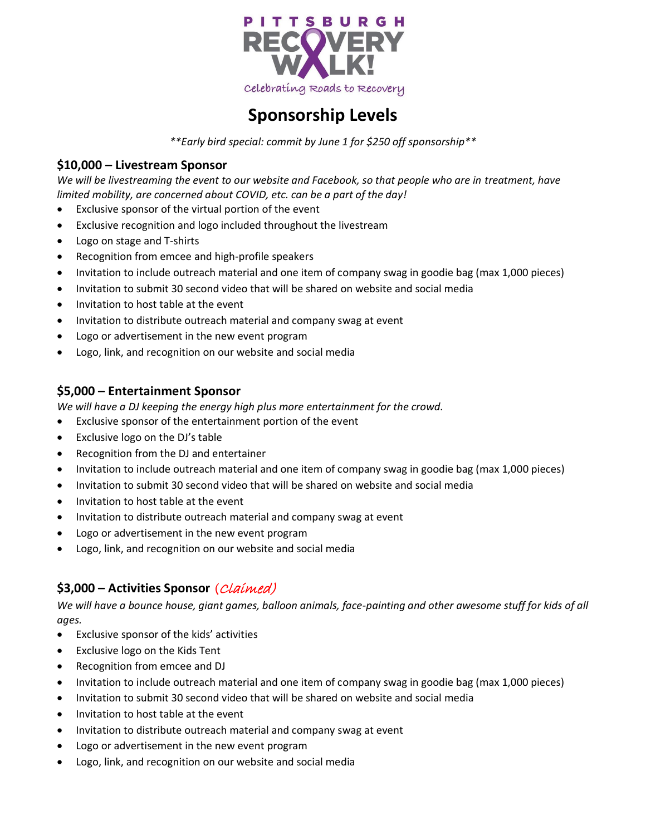

## **Sponsorship Levels**

*\*\*Early bird special: commit by June 1 for \$250 off sponsorship\*\**

### **\$10,000 – Livestream Sponsor**

*We will be livestreaming the event to our website and Facebook, so that people who are in treatment, have limited mobility, are concerned about COVID, etc. can be a part of the day!* 

- Exclusive sponsor of the virtual portion of the event
- Exclusive recognition and logo included throughout the livestream
- Logo on stage and T-shirts
- Recognition from emcee and high-profile speakers
- Invitation to include outreach material and one item of company swag in goodie bag (max 1,000 pieces)
- Invitation to submit 30 second video that will be shared on website and social media
- Invitation to host table at the event
- Invitation to distribute outreach material and company swag at event
- Logo or advertisement in the new event program
- Logo, link, and recognition on our website and social media

### **\$5,000 – Entertainment Sponsor**

*We will have a DJ keeping the energy high plus more entertainment for the crowd.* 

- Exclusive sponsor of the entertainment portion of the event
- Exclusive logo on the DJ's table
- Recognition from the DJ and entertainer
- Invitation to include outreach material and one item of company swag in goodie bag (max 1,000 pieces)
- Invitation to submit 30 second video that will be shared on website and social media
- Invitation to host table at the event
- Invitation to distribute outreach material and company swag at event
- Logo or advertisement in the new event program
- Logo, link, and recognition on our website and social media

## **\$3,000 – Activities Sponsor** (Claimed)

*We will have a bounce house, giant games, balloon animals, face-painting and other awesome stuff for kids of all ages.*

- Exclusive sponsor of the kids' activities
- Exclusive logo on the Kids Tent
- Recognition from emcee and DJ
- Invitation to include outreach material and one item of company swag in goodie bag (max 1,000 pieces)
- Invitation to submit 30 second video that will be shared on website and social media
- Invitation to host table at the event
- Invitation to distribute outreach material and company swag at event
- Logo or advertisement in the new event program
- Logo, link, and recognition on our website and social media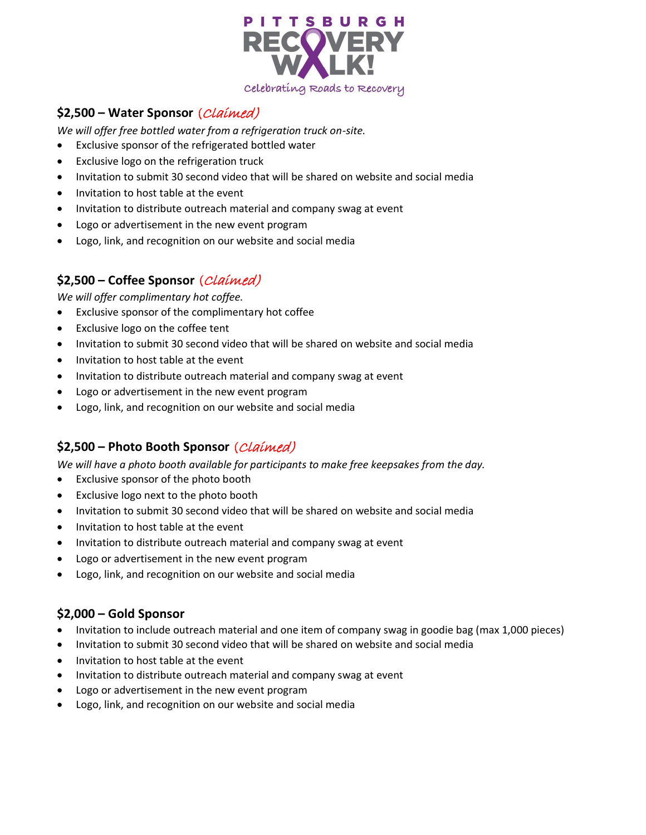

## **\$2,500 – Water Sponsor** (Claimed)

*We will offer free bottled water from a refrigeration truck on-site.* 

- Exclusive sponsor of the refrigerated bottled water
- Exclusive logo on the refrigeration truck
- Invitation to submit 30 second video that will be shared on website and social media
- Invitation to host table at the event
- Invitation to distribute outreach material and company swag at event
- Logo or advertisement in the new event program
- Logo, link, and recognition on our website and social media

## **\$2,500 – Coffee Sponsor** (Claimed)

*We will offer complimentary hot coffee.*

- Exclusive sponsor of the complimentary hot coffee
- Exclusive logo on the coffee tent
- Invitation to submit 30 second video that will be shared on website and social media
- Invitation to host table at the event
- Invitation to distribute outreach material and company swag at event
- Logo or advertisement in the new event program
- Logo, link, and recognition on our website and social media

## **\$2,500 – Photo Booth Sponsor** (Claimed)

*We will have a photo booth available for participants to make free keepsakes from the day.*

- Exclusive sponsor of the photo booth
- Exclusive logo next to the photo booth
- Invitation to submit 30 second video that will be shared on website and social media
- Invitation to host table at the event
- Invitation to distribute outreach material and company swag at event
- Logo or advertisement in the new event program
- Logo, link, and recognition on our website and social media

#### **\$2,000 – Gold Sponsor**

- Invitation to include outreach material and one item of company swag in goodie bag (max 1,000 pieces)
- Invitation to submit 30 second video that will be shared on website and social media
- Invitation to host table at the event
- Invitation to distribute outreach material and company swag at event
- Logo or advertisement in the new event program
- Logo, link, and recognition on our website and social media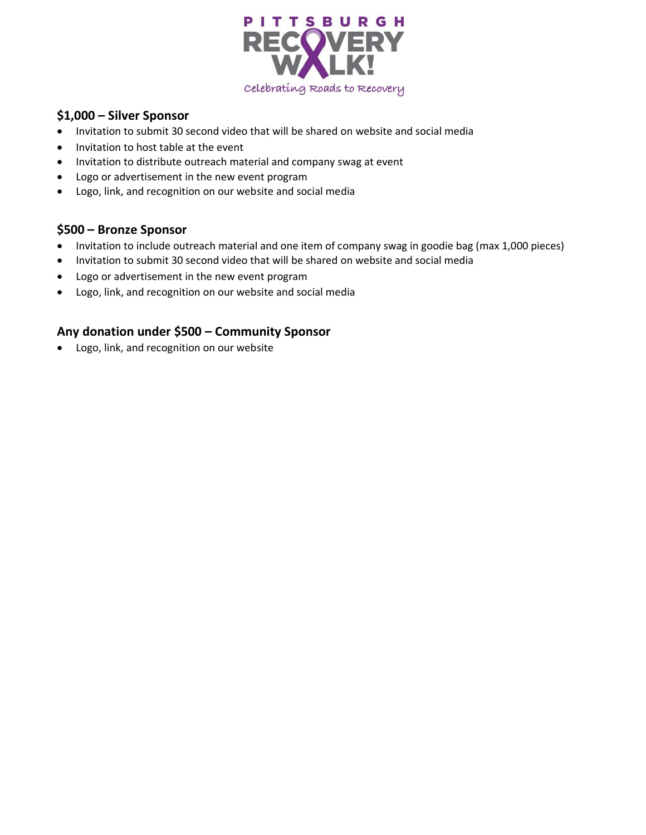

## **\$1,000 – Silver Sponsor**

- Invitation to submit 30 second video that will be shared on website and social media
- Invitation to host table at the event
- Invitation to distribute outreach material and company swag at event
- Logo or advertisement in the new event program
- Logo, link, and recognition on our website and social media

#### **\$500 – Bronze Sponsor**

- Invitation to include outreach material and one item of company swag in goodie bag (max 1,000 pieces)
- Invitation to submit 30 second video that will be shared on website and social media
- Logo or advertisement in the new event program
- Logo, link, and recognition on our website and social media

#### **Any donation under \$500 – Community Sponsor**

• Logo, link, and recognition on our website